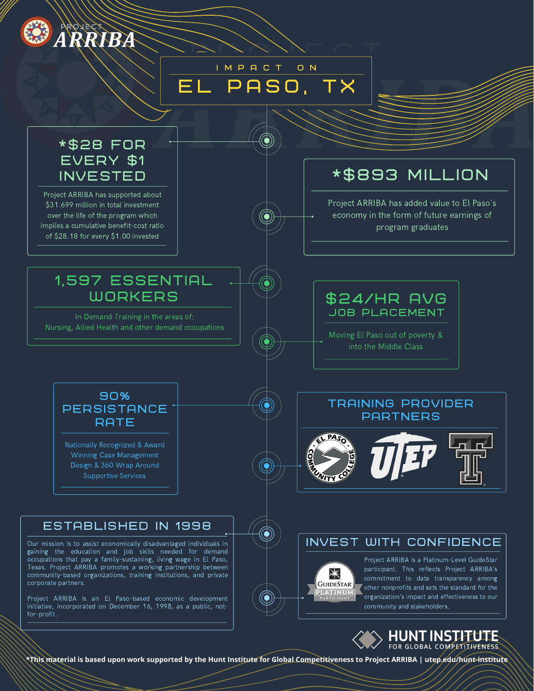

# $\mathsf{EL}$  paso. TX i m p a c t o n

## \*\$28 FOR EVERY \$1 INVESTED

Project ARRIBA has supported about \$31.699 million in total investment over the life of the program which implies a cumulative benefit-cost ratio of \$28.18 for every \$1.00 invested

# \*\$893 MILLION

Project ARRIBA has added value to El Paso's economy in the form of future earnings of program graduates

## 1,597 ESSENTIAL **WORKERS**

In Demand Training in the areas of: Nursing, Allied Health and other demand occupations \$24/HR AVG JOB PLACEMENT

Moving El Paso out of poverty & into the Middle Class



Nationally Recognized & Award Winning Case Management Design & 360 Wrap Around Supportive Services

## TRAINING PROVIDER **PARTNERS**



### INVEST WITH CONFIDENCE



Project ARRIBA is a Platinum-Level GuideStar participant. This reflects Project ARRIBA's commitment to data transparency among other nonprofits and sets the standard for the organization's impact and effectiveness to our community and stakeholders.



ESTABLISHED IN 1998

Our mission is to assist economically disadvantaged individuals in gaining the education and job skills needed for demand occupations that pay a family-sustaining, living wage in El Paso, Texas. Project ARRIBA promotes a working partnership between community-based organizations, training institutions, and private corporate partners.

Project ARRIBA is an El Paso-based economic development initiative, incorporated on December 16, 1998, as a public, notfor-profit.

**\*This material is based upon work supported by the Hunt Institute for Global Competitiveness to Project ARRIBA | utep.edu/hunt-institute**